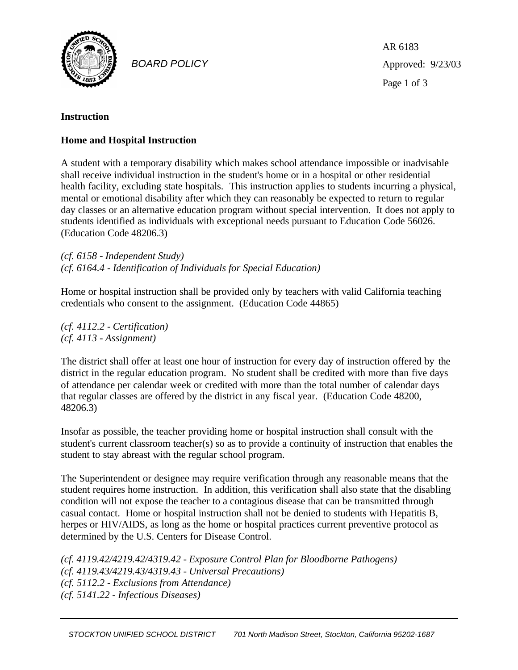

*BOARD POLICY*

AR 6183 Approved: 9/23/03 Page 1 of 3

# **Instruction**

# **Home and Hospital Instruction**

A student with a temporary disability which makes school attendance impossible or inadvisable shall receive individual instruction in the student's home or in a hospital or other residential health facility, excluding state hospitals. This instruction applies to students incurring a physical, mental or emotional disability after which they can reasonably be expected to return to regular day classes or an alternative education program without special intervention. It does not apply to students identified as individuals with exceptional needs pursuant to Education Code 56026. (Education Code 48206.3)

*(cf. 6158 - Independent Study) (cf. 6164.4 - Identification of Individuals for Special Education)*

Home or hospital instruction shall be provided only by teachers with valid California teaching credentials who consent to the assignment. (Education Code 44865)

*(cf. 4112.2 - Certification) (cf. 4113 - Assignment)*

The district shall offer at least one hour of instruction for every day of instruction offered by the district in the regular education program. No student shall be credited with more than five days of attendance per calendar week or credited with more than the total number of calendar days that regular classes are offered by the district in any fiscal year. (Education Code 48200, 48206.3)

Insofar as possible, the teacher providing home or hospital instruction shall consult with the student's current classroom teacher(s) so as to provide a continuity of instruction that enables the student to stay abreast with the regular school program.

The Superintendent or designee may require verification through any reasonable means that the student requires home instruction. In addition, this verification shall also state that the disabling condition will not expose the teacher to a contagious disease that can be transmitted through casual contact. Home or hospital instruction shall not be denied to students with Hepatitis B, herpes or HIV/AIDS, as long as the home or hospital practices current preventive protocol as determined by the U.S. Centers for Disease Control.

```
(cf. 4119.42/4219.42/4319.42 - Exposure Control Plan for Bloodborne Pathogens)
(cf. 4119.43/4219.43/4319.43 - Universal Precautions)
(cf. 5112.2 - Exclusions from Attendance) 
(cf. 5141.22 - Infectious Diseases)
```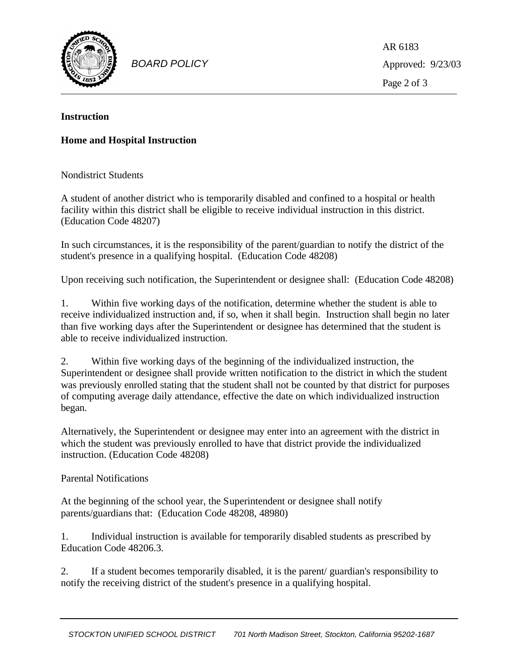

*BOARD POLICY*

AR 6183 Approved: 9/23/03 Page 2 of 3

#### **Instruction**

## **Home and Hospital Instruction**

Nondistrict Students

A student of another district who is temporarily disabled and confined to a hospital or health facility within this district shall be eligible to receive individual instruction in this district. (Education Code 48207)

In such circumstances, it is the responsibility of the parent/guardian to notify the district of the student's presence in a qualifying hospital. (Education Code 48208)

Upon receiving such notification, the Superintendent or designee shall: (Education Code 48208)

1. Within five working days of the notification, determine whether the student is able to receive individualized instruction and, if so, when it shall begin. Instruction shall begin no later than five working days after the Superintendent or designee has determined that the student is able to receive individualized instruction.

2. Within five working days of the beginning of the individualized instruction, the Superintendent or designee shall provide written notification to the district in which the student was previously enrolled stating that the student shall not be counted by that district for purposes of computing average daily attendance, effective the date on which individualized instruction began.

Alternatively, the Superintendent or designee may enter into an agreement with the district in which the student was previously enrolled to have that district provide the individualized instruction. (Education Code 48208)

### Parental Notifications

At the beginning of the school year, the Superintendent or designee shall notify parents/guardians that: (Education Code 48208, 48980)

1. Individual instruction is available for temporarily disabled students as prescribed by Education Code 48206.3.

2. If a student becomes temporarily disabled, it is the parent/ guardian's responsibility to notify the receiving district of the student's presence in a qualifying hospital.